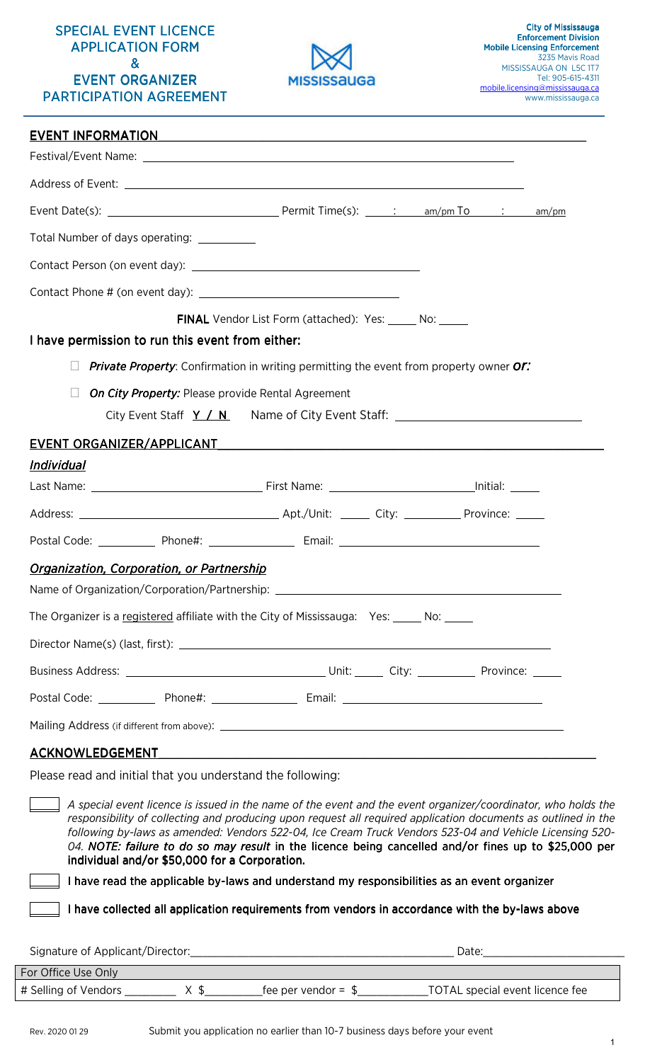### SPECIAL EVENT LICENCE **APPLICATION FORM** & EVENT ORGANIZER PARTICIPATION AGREEMENT



| EVENT INFORMATION EVERY AND THE RESERVE THE RESERVE THAT AN ALGORITHM THE RESERVE THAT AN ALGORITHM THE RESERVE THAT A STATE OF THE RESERVE THAT A STATE OF THE RESERVE THAT A STATE OF THE RESERVE THAT A STATE OF THE RESERV |                                                                                        |  |
|--------------------------------------------------------------------------------------------------------------------------------------------------------------------------------------------------------------------------------|----------------------------------------------------------------------------------------|--|
|                                                                                                                                                                                                                                |                                                                                        |  |
|                                                                                                                                                                                                                                |                                                                                        |  |
|                                                                                                                                                                                                                                |                                                                                        |  |
| Total Number of days operating: ___________                                                                                                                                                                                    |                                                                                        |  |
|                                                                                                                                                                                                                                |                                                                                        |  |
|                                                                                                                                                                                                                                |                                                                                        |  |
|                                                                                                                                                                                                                                | <b>FINAL</b> Vendor List Form (attached): Yes: No: No:                                 |  |
| I have permission to run this event from either:                                                                                                                                                                               |                                                                                        |  |
|                                                                                                                                                                                                                                | Private Property: Confirmation in writing permitting the event from property owner Or: |  |
| On City Property: Please provide Rental Agreement                                                                                                                                                                              |                                                                                        |  |
|                                                                                                                                                                                                                                | City Event Staff $Y / N$ Name of City Event Staff: _______________________________     |  |
|                                                                                                                                                                                                                                |                                                                                        |  |
| <u>Individual</u>                                                                                                                                                                                                              |                                                                                        |  |
|                                                                                                                                                                                                                                |                                                                                        |  |
|                                                                                                                                                                                                                                |                                                                                        |  |
| Postal Code: ______________ Phone#: _____________________ Email: ___________________________________                                                                                                                           |                                                                                        |  |
| Organization, Corporation, or Partnership<br>Name of Organization/Corporation/Partnership:                                                                                                                                     |                                                                                        |  |
| The Organizer is a registered affiliate with the City of Mississauga: Yes: _____ No: _____                                                                                                                                     |                                                                                        |  |
|                                                                                                                                                                                                                                |                                                                                        |  |
|                                                                                                                                                                                                                                |                                                                                        |  |
|                                                                                                                                                                                                                                |                                                                                        |  |
|                                                                                                                                                                                                                                |                                                                                        |  |
| <u>ACKNOWLEDGEMENT ACKNOWLEDGEMENT</u>                                                                                                                                                                                         |                                                                                        |  |
|                                                                                                                                                                                                                                |                                                                                        |  |

Please read and initial that you understand the following:

 *A special event licence is issued in the name of the event and the event organizer/coordinator, who holds the responsibility of collecting and producing upon request all required application documents as outlined in the following by-laws as amended: Vendors 522-04, Ice Cream Truck Vendors 523-04 and Vehicle Licensing 520-* 04. NOTE: failure to do so may result in the licence being cancelled and/or fines up to \$25,000 per individual and/or \$50,000 for a Corporation.

I have read the applicable by-laws and understand my responsibilities as an event organizer

I have collected all application requirements from vendors in accordance with the by-laws above

| Signature of Applicant/Director: | Date <sup>-</sup>    |                                 |  |
|----------------------------------|----------------------|---------------------------------|--|
| For Office Use Only              |                      |                                 |  |
| # Selling of Vendors             | fee per vendor = $$$ | TOTAL special event licence fee |  |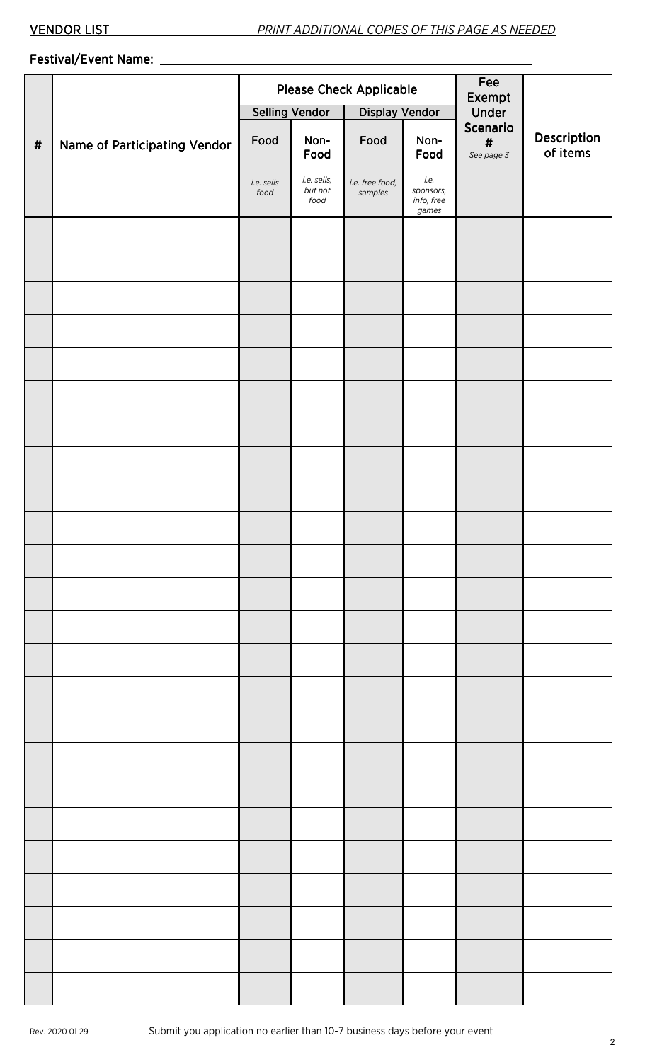# Festival/Event Name: Festival/Event Name:

|          |                              | <b>Please Check Applicable</b> |                                |                            |                                          | Fee<br>Exempt<br>Under                   |                         |
|----------|------------------------------|--------------------------------|--------------------------------|----------------------------|------------------------------------------|------------------------------------------|-------------------------|
|          |                              | <b>Selling Vendor</b>          |                                | Display Vendor             |                                          |                                          |                         |
| $\sharp$ | Name of Participating Vendor | Food                           | Non-<br>Food                   | Food                       | Non-<br>Food                             | Scenario<br>$\pmb{\sharp}$<br>See page 3 | Description<br>of items |
|          |                              | i.e. sells<br>food             | i.e. sells,<br>but not<br>food | i.e. free food,<br>samples | i.e.<br>sponsors,<br>info, free<br>games |                                          |                         |
|          |                              |                                |                                |                            |                                          |                                          |                         |
|          |                              |                                |                                |                            |                                          |                                          |                         |
|          |                              |                                |                                |                            |                                          |                                          |                         |
|          |                              |                                |                                |                            |                                          |                                          |                         |
|          |                              |                                |                                |                            |                                          |                                          |                         |
|          |                              |                                |                                |                            |                                          |                                          |                         |
|          |                              |                                |                                |                            |                                          |                                          |                         |
|          |                              |                                |                                |                            |                                          |                                          |                         |
|          |                              |                                |                                |                            |                                          |                                          |                         |
|          |                              |                                |                                |                            |                                          |                                          |                         |
|          |                              |                                |                                |                            |                                          |                                          |                         |
|          |                              |                                |                                |                            |                                          |                                          |                         |
|          |                              |                                |                                |                            |                                          |                                          |                         |
|          |                              |                                |                                |                            |                                          |                                          |                         |
|          |                              |                                |                                |                            |                                          |                                          |                         |
|          |                              |                                |                                |                            |                                          |                                          |                         |
|          |                              |                                |                                |                            |                                          |                                          |                         |
|          |                              |                                |                                |                            |                                          |                                          |                         |
|          |                              |                                |                                |                            |                                          |                                          |                         |
|          |                              |                                |                                |                            |                                          |                                          |                         |
|          |                              |                                |                                |                            |                                          |                                          |                         |
|          |                              |                                |                                |                            |                                          |                                          |                         |
|          |                              |                                |                                |                            |                                          |                                          |                         |
|          |                              |                                |                                |                            |                                          |                                          |                         |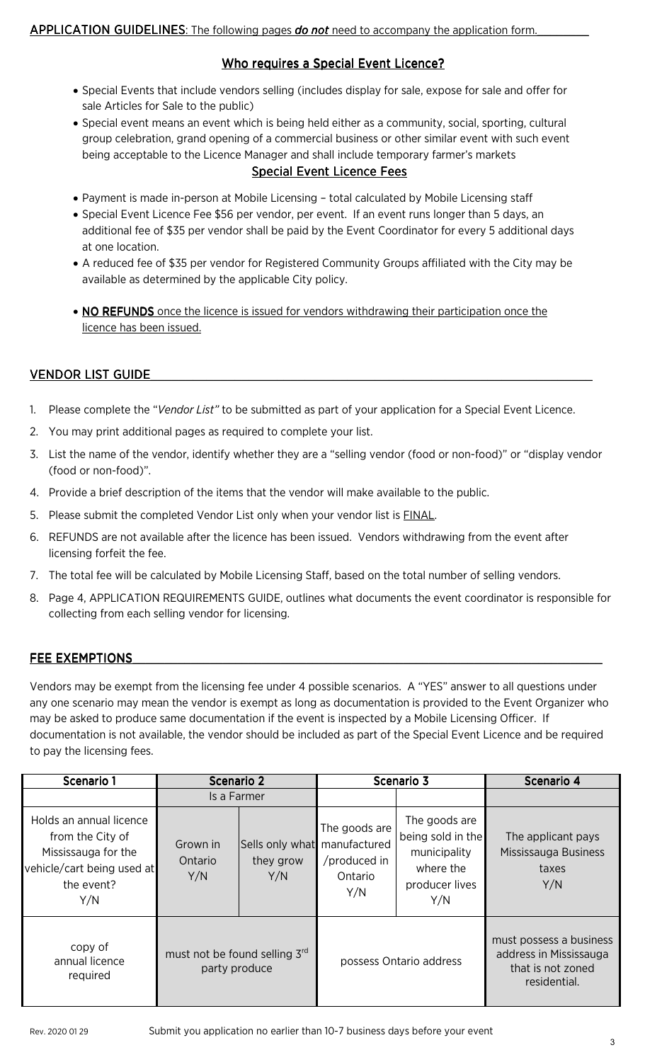## Who requires a Special Event Licence?

- Special Events that include vendors selling (includes display for sale, expose for sale and offer for sale Articles for Sale to the public)
- Special event means an event which is being held either as a community, social, sporting, cultural group celebration, grand opening of a commercial business or other similar event with such event being acceptable to the Licence Manager and shall include temporary farmer's markets

### Special Event Licence Fees

- Payment is made in-person at Mobile Licensing total calculated by Mobile Licensing staff
- Special Event Licence Fee \$56 per vendor, per event. If an event runs longer than 5 days, an additional fee of \$35 per vendor shall be paid by the Event Coordinator for every 5 additional days at one location.
- A reduced fee of \$35 per vendor for Registered Community Groups affiliated with the City may be available as determined by the applicable City policy.
- NO REFUNDS once the licence is issued for vendors withdrawing their participation once the licence has been issued.

## VENDOR LIST GUIDE\_\_\_\_\_\_\_\_\_\_\_\_\_\_\_\_\_\_\_\_\_\_\_\_\_\_\_\_\_\_\_\_\_\_ VENDOR LIST GUIDE \_\_\_\_\_\_\_\_\_\_\_\_\_\_\_\_\_\_\_\_\_\_\_\_\_\_\_\_\_

- 1. Please complete the "*Vendor List"* to be submitted as part of your application for a Special Event Licence.
- 2. You may print additional pages as required to complete your list.
- 3. List the name of the vendor, identify whether they are a "selling vendor (food or non-food)" or "display vendor (food or non-food)".
- 4. Provide a brief description of the items that the vendor will make available to the public.
- 5. Please submit the completed Vendor List only when your vendor list is **FINAL**.
- 6. REFUNDS are not available after the licence has been issued. Vendors withdrawing from the event after licensing forfeit the fee.
- 7. The total fee will be calculated by Mobile Licensing Staff, based on the total number of selling vendors.
- 8. Page 4, APPLICATION REQUIREMENTS GUIDE, outlines what documents the event coordinator is responsible for collecting from each selling vendor for licensing.

## FEE EXEMPTIONS

Vendors may be exempt from the licensing fee under 4 possible scenarios. A "YES" answer to all questions under any one scenario may mean the vendor is exempt as long as documentation is provided to the Event Organizer who may be asked to produce same documentation if the event is inspected by a Mobile Licensing Officer. If documentation is not available, the vendor should be included as part of the Special Event Licence and be required to pay the licensing fees.

| Scenario 1                                                                                                            | Scenario 2                                     |                                                  | Scenario 3                                      |                                                                                          | Scenario 4                                                                             |
|-----------------------------------------------------------------------------------------------------------------------|------------------------------------------------|--------------------------------------------------|-------------------------------------------------|------------------------------------------------------------------------------------------|----------------------------------------------------------------------------------------|
|                                                                                                                       | Is a Farmer                                    |                                                  |                                                 |                                                                                          |                                                                                        |
| Holds an annual licence<br>from the City of<br>Mississauga for the<br>vehicle/cart being used at<br>the event?<br>Y/N | Grown in<br>Ontario<br>Y/N                     | Sells only what manufactured<br>they grow<br>Y/N | The goods are<br>/produced in<br>Ontario<br>Y/N | The goods are<br>being sold in the<br>municipality<br>where the<br>producer lives<br>Y/N | The applicant pays<br>Mississauga Business<br>taxes<br>Y/N                             |
| copy of<br>annual licence<br>required                                                                                 | must not be found selling 3rd<br>party produce |                                                  | possess Ontario address                         |                                                                                          | must possess a business<br>address in Mississauga<br>that is not zoned<br>residential. |